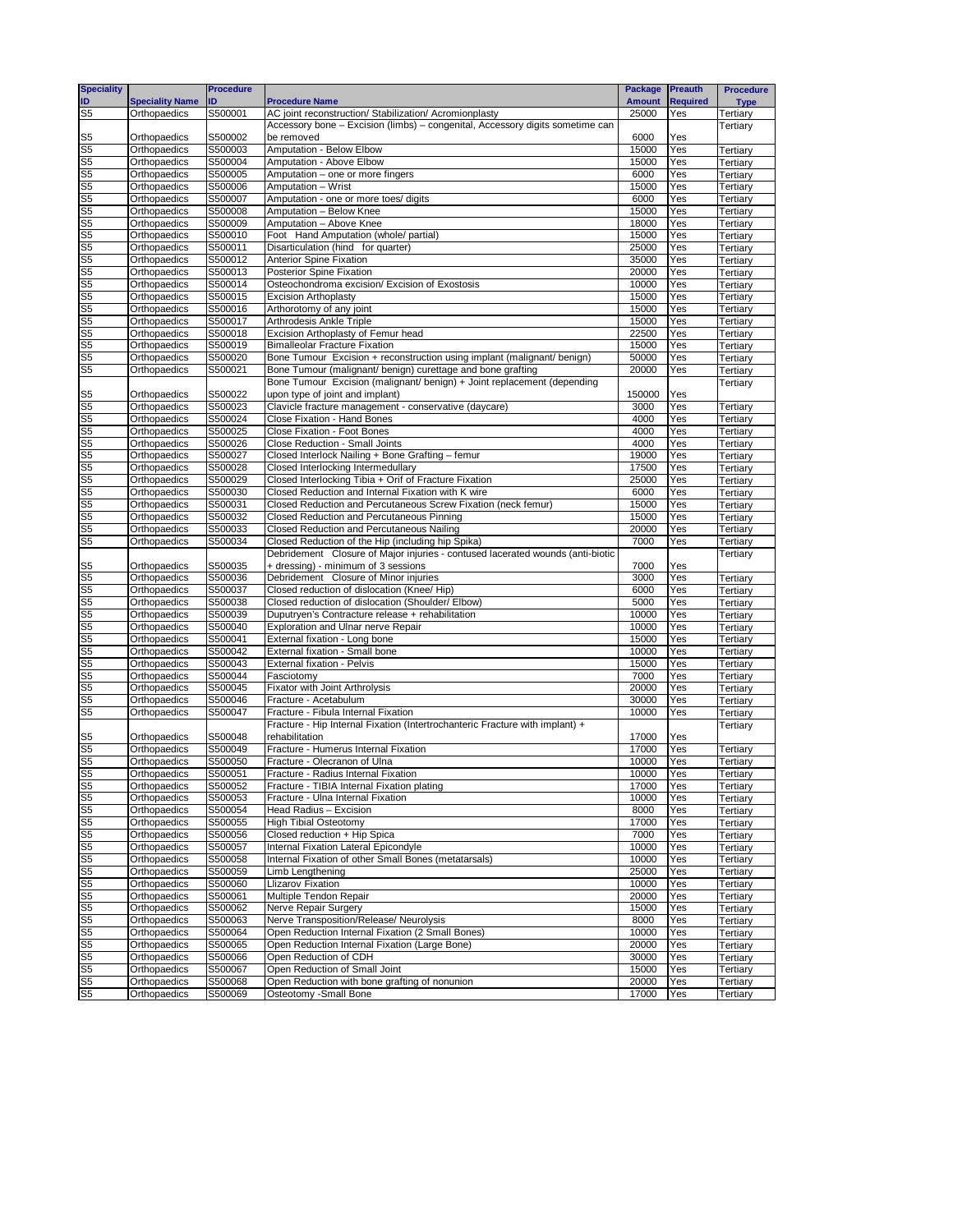| <b>Speciality</b>                |                              | <b>Procedure</b>   |                                                                                                                 | Package        | <b>Preauth</b>  | <b>Procedure</b>     |
|----------------------------------|------------------------------|--------------------|-----------------------------------------------------------------------------------------------------------------|----------------|-----------------|----------------------|
| ID                               | <b>Speciality Name</b>       | ID                 | <b>Procedure Name</b>                                                                                           | <b>Amount</b>  | <b>Required</b> | <b>Type</b>          |
| S <sub>5</sub>                   | Orthopaedics                 | S500001            | AC joint reconstruction/ Stabilization/ Acromionplasty                                                          | 25000          | Yes             | Tertiary             |
|                                  |                              |                    | Accessory bone - Excision (limbs) - congenital, Accessory digits sometime can                                   |                |                 | Tertiary             |
| S5                               | Orthopaedics                 | S500002            | be removed                                                                                                      | 6000           | Yes             |                      |
| S <sub>5</sub>                   | Orthopaedics                 | S500003            | Amputation - Below Elbow                                                                                        | 15000          | Yes             | Tertiary             |
| S <sub>5</sub>                   | Orthopaedics                 | S500004            | Amputation - Above Elbow                                                                                        | 15000          | Yes             | Tertiary             |
| S <sub>5</sub>                   | Orthopaedics                 | S500005            | Amputation - one or more fingers                                                                                | 6000           | Yes             | Tertiary             |
| S <sub>5</sub>                   | Orthopaedics                 | S500006            | Amputation - Wrist                                                                                              | 15000          | Yes             | Tertiary             |
| S <sub>5</sub>                   | Orthopaedics                 | S500007            | Amputation - one or more toes/ digits                                                                           | 6000           | Yes             | Tertiary             |
| S <sub>5</sub>                   | Orthopaedics                 | S500008            | Amputation - Below Knee                                                                                         | 15000          | Yes             | Tertiary             |
| S <sub>5</sub>                   | Orthopaedics                 | S500009            | Amputation - Above Knee                                                                                         | 18000          | Yes             | Tertiary             |
| S <sub>5</sub>                   | Orthopaedics                 | S500010            | Foot Hand Amputation (whole/ partial)                                                                           | 15000          | Yes             | Tertiary             |
| S <sub>5</sub>                   | Orthopaedics                 | S500011            | Disarticulation (hind for quarter)                                                                              | 25000          | Yes             | Tertiary             |
| S <sub>5</sub>                   | Orthopaedics                 | S500012            | <b>Anterior Spine Fixation</b>                                                                                  | 35000          | Yes             | Tertiary             |
| S <sub>5</sub>                   | Orthopaedics                 | S500013            | Posterior Spine Fixation                                                                                        | 20000          | Yes             | Tertiary             |
| S <sub>5</sub>                   | Orthopaedics                 | S500014            | Osteochondroma excision/ Excision of Exostosis                                                                  | 10000          | Yes             | Tertiary             |
| S <sub>5</sub>                   | Orthopaedics                 | S500015            | <b>Excision Arthoplasty</b>                                                                                     | 15000          | Yes             | Tertiary             |
| S <sub>5</sub>                   | Orthopaedics                 | S500016            | Arthorotomy of any joint                                                                                        | 15000          | Yes             | Tertiary             |
| S <sub>5</sub>                   | Orthopaedics                 | S500017            | <b>Arthrodesis Ankle Triple</b>                                                                                 | 15000          | Yes             | Tertiary             |
| S <sub>5</sub>                   | Orthopaedics                 | S500018<br>S500019 | Excision Arthoplasty of Femur head                                                                              | 22500<br>15000 | Yes             | Tertiary             |
| S <sub>5</sub><br>S <sub>5</sub> | Orthopaedics                 | S500020            | <b>Bimalleolar Fracture Fixation</b><br>Bone Tumour Excision + reconstruction using implant (malignant/ benign) | 50000          | Yes             | Tertiary             |
| S <sub>5</sub>                   | Orthopaedics                 |                    | Bone Tumour (malignant/ benign) curettage and bone grafting                                                     | 20000          | Yes             | Tertiary             |
|                                  | Orthopaedics                 | S500021            | Bone Tumour Excision (malignant/ benign) + Joint replacement (depending                                         |                | Yes             | Tertiary             |
| S5                               | Orthopaedics                 | S500022            | upon type of joint and implant)                                                                                 | 150000         | Yes             | Tertiary             |
| S <sub>5</sub>                   | Orthopaedics                 | S500023            | Clavicle fracture management - conservative (daycare)                                                           | 3000           | Yes             | Tertiary             |
| S <sub>5</sub>                   | Orthopaedics                 | S500024            | Close Fixation - Hand Bones                                                                                     | 4000           | Yes             | Tertiary             |
| S <sub>5</sub>                   | Orthopaedics                 | S500025            | Close Fixation - Foot Bones                                                                                     | 4000           | Yes             | Tertiary             |
| S <sub>5</sub>                   | Orthopaedics                 | S500026            | Close Reduction - Small Joints                                                                                  | 4000           | Yes             | Tertiary             |
| S <sub>5</sub>                   | Orthopaedics                 | S500027            | Closed Interlock Nailing + Bone Grafting - femur                                                                | 19000          | Yes             | Tertiary             |
| S <sub>5</sub>                   | Orthopaedics                 | S500028            | Closed Interlocking Intermedullary                                                                              | 17500          | Yes             | Tertiary             |
| S <sub>5</sub>                   | Orthopaedics                 | S500029            | Closed Interlocking Tibia + Orif of Fracture Fixation                                                           | 25000          | Yes             | Tertiary             |
| S <sub>5</sub>                   | Orthopaedics                 | S500030            | Closed Reduction and Internal Fixation with K wire                                                              | 6000           | Yes             | Tertiary             |
| S <sub>5</sub>                   | Orthopaedics                 | S500031            | Closed Reduction and Percutaneous Screw Fixation (neck femur)                                                   | 15000          | Yes             | Tertiary             |
| S <sub>5</sub>                   | Orthopaedics                 | S500032            | Closed Reduction and Percutaneous Pinning                                                                       | 15000          | Yes             | Tertiary             |
| S <sub>5</sub>                   | Orthopaedics                 | S500033            | Closed Reduction and Percutaneous Nailing                                                                       | 20000          | Yes             | Tertiary             |
| S <sub>5</sub>                   | Orthopaedics                 | S500034            | Closed Reduction of the Hip (including hip Spika)                                                               | 7000           | Yes             | Tertiary             |
|                                  |                              |                    | Debridement Closure of Major injuries - contused lacerated wounds (anti-biotic                                  |                |                 | Tertiary             |
| S5                               | Orthopaedics                 | S500035            | + dressing) - minimum of 3 sessions                                                                             | 7000           | Yes             |                      |
| S <sub>5</sub>                   | Orthopaedics                 | S500036            | Debridement Closure of Minor injuries                                                                           | 3000           | Yes             | Tertiary             |
| S <sub>5</sub>                   | Orthopaedics                 | S500037            | Closed reduction of dislocation (Knee/ Hip)                                                                     | 6000           | Yes             | Tertiary             |
| S <sub>5</sub>                   | Orthopaedics                 | S500038            | Closed reduction of dislocation (Shoulder/ Elbow)                                                               | 5000           | Yes             | Tertiary             |
| S <sub>5</sub>                   | Orthopaedics                 | S500039            | Duputryen's Contracture release + rehabilitation                                                                | 10000          | Yes             | Tertiary             |
| S <sub>5</sub>                   | Orthopaedics                 | S500040            | Exploration and Ulnar nerve Repair                                                                              | 10000          | Yes             | Tertiary             |
| S <sub>5</sub>                   | Orthopaedics                 | S500041            | External fixation - Long bone                                                                                   | 15000          | Yes             | Tertiary             |
| S <sub>5</sub>                   | Orthopaedics                 | S500042            | External fixation - Small bone                                                                                  | 10000          | Yes             | Tertiary             |
| S <sub>5</sub>                   | Orthopaedics                 | S500043            | External fixation - Pelvis                                                                                      | 15000          | Yes             | Tertiary             |
| S <sub>5</sub>                   | Orthopaedics                 | S500044            | Fasciotomy                                                                                                      | 7000           | Yes             | Tertiary             |
| S <sub>5</sub>                   | Orthopaedics                 | S500045            | <b>Fixator with Joint Arthrolysis</b>                                                                           | 20000          | Yes             | Tertiary             |
| S5                               | Orthopaedics                 | S500046            | Fracture - Acetabulum                                                                                           | 30000          | Yes             | Tertiary             |
| S <sub>5</sub>                   | Orthopaedics                 | S500047            | Fracture - Fibula Internal Fixation                                                                             | 10000          | Yes             | Tertiary             |
|                                  |                              |                    | Fracture - Hip Internal Fixation (Intertrochanteric Fracture with implant) +                                    |                |                 | Tertiary             |
| S5                               | Orthopaedics                 | S500048            | rehabilitation                                                                                                  | 17000          | Yes             |                      |
| S <sub>5</sub>                   | Orthopaedics                 | S500049<br>S500050 | Fracture - Humerus Internal Fixation                                                                            | 17000<br>10000 | Yes<br>Yes      | Tertiary             |
| S <sub>5</sub>                   | Orthopaedics                 |                    | Fracture - Olecranon of Ulna                                                                                    |                |                 | Tertiary             |
| S <sub>5</sub>                   | Orthopaedics<br>Orthopaedics | S500051<br>S500052 | Fracture - Radius Internal Fixation<br>Fracture - TIBIA Internal Fixation plating                               | 10000<br>17000 | Yes<br>Yes      | Tertiary             |
| S <sub>5</sub><br>S <sub>5</sub> |                              |                    |                                                                                                                 |                |                 | Tertiary             |
| S <sub>5</sub>                   | Orthopaedics<br>Orthopaedics | S500053<br>S500054 | Fracture - Ulna Internal Fixation<br>Head Radius - Excision                                                     | 10000<br>8000  | Yes<br>Yes      | Tertiary             |
| S <sub>5</sub>                   | Orthopaedics                 | S500055            | <b>High Tibial Osteotomy</b>                                                                                    | 17000          | Yes             | Tertiary<br>Tertiary |
| S <sub>5</sub>                   | Orthopaedics                 | S500056            | Closed reduction + Hip Spica                                                                                    | 7000           | Yes             | Tertiary             |
| S <sub>5</sub>                   | Orthopaedics                 | S500057            | Internal Fixation Lateral Epicondyle                                                                            | 10000          | Yes             | Tertiary             |
| S <sub>5</sub>                   | Orthopaedics                 | S500058            | Internal Fixation of other Small Bones (metatarsals)                                                            | 10000          | Yes             | Tertiary             |
| S <sub>5</sub>                   | Orthopaedics                 | S500059            | Limb Lengthening                                                                                                | 25000          | Yes             | Tertiary             |
| S <sub>5</sub>                   | Orthopaedics                 | S500060            | Llizarov Fixation                                                                                               | 10000          | Yes             | Tertiary             |
| S <sub>5</sub>                   | Orthopaedics                 | S500061            | Multiple Tendon Repair                                                                                          | 20000          | Yes             | Tertiary             |
| S <sub>5</sub>                   | Orthopaedics                 | S500062            | Nerve Repair Surgery                                                                                            | 15000          | Yes             | Tertiary             |
| S <sub>5</sub>                   | Orthopaedics                 | S500063            | Nerve Transposition/Release/ Neurolysis                                                                         | 8000           | Yes             | Tertiary             |
| S <sub>5</sub>                   | Orthopaedics                 | S500064            | Open Reduction Internal Fixation (2 Small Bones)                                                                | 10000          | Yes             | Tertiary             |
| S <sub>5</sub>                   | Orthopaedics                 | S500065            | Open Reduction Internal Fixation (Large Bone)                                                                   | 20000          | Yes             | Tertiary             |
| S <sub>5</sub>                   | Orthopaedics                 | S500066            | Open Reduction of CDH                                                                                           | 30000          | Yes             | Tertiary             |
| S <sub>5</sub>                   | Orthopaedics                 | S500067            | Open Reduction of Small Joint                                                                                   | 15000          | Yes             | Tertiary             |
| S <sub>5</sub>                   | Orthopaedics                 | S500068            | Open Reduction with bone grafting of nonunion                                                                   | 20000          | Yes             | Tertiary             |
| S <sub>5</sub>                   | Orthopaedics                 | S500069            | Osteotomy - Small Bone                                                                                          | 17000          | Yes             | Tertiary             |